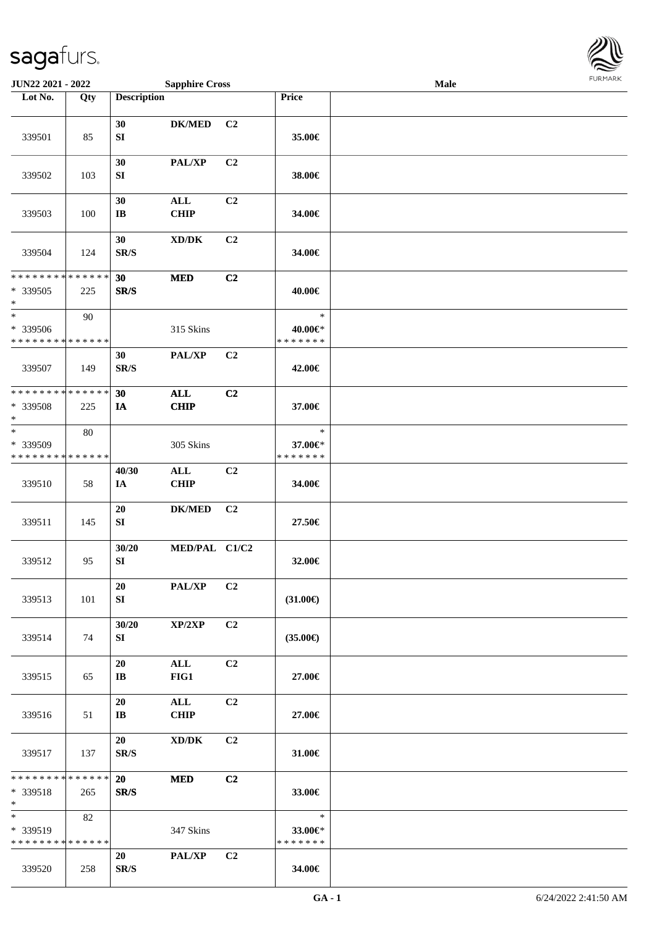

| JUN22 2021 - 2022                                  |     |                              | <b>Sapphire Cross</b>               |                |                                    | <b>Male</b> |  |
|----------------------------------------------------|-----|------------------------------|-------------------------------------|----------------|------------------------------------|-------------|--|
| Lot No.                                            | Qty | <b>Description</b>           |                                     |                | Price                              |             |  |
| 339501                                             | 85  | 30<br>${\bf SI}$             | <b>DK/MED</b>                       | C <sub>2</sub> | 35.00€                             |             |  |
| 339502                                             | 103 | 30<br>${\bf S}{\bf I}$       | PAL/XP                              | C <sub>2</sub> | 38.00€                             |             |  |
| 339503                                             | 100 | 30<br>$\bf IB$               | ALL<br><b>CHIP</b>                  | C2             | 34.00€                             |             |  |
| 339504                                             | 124 | 30<br>SR/S                   | $\bold{X}\bold{D}/\bold{D}\bold{K}$ | C <sub>2</sub> | 34.00€                             |             |  |
| ******** <mark>******</mark><br>* 339505<br>$\ast$ | 225 | 30<br>SR/S                   | <b>MED</b>                          | C2             | 40.00€                             |             |  |
| $\ast$<br>* 339506<br>* * * * * * * * * * * * * *  | 90  |                              | 315 Skins                           |                | $\ast$<br>40.00€*<br>* * * * * * * |             |  |
| 339507                                             | 149 | 30<br>SR/S                   | PAL/XP                              | C <sub>2</sub> | 42.00€                             |             |  |
| * * * * * * * * * * * * * *<br>* 339508<br>$\ast$  | 225 | 30<br>IA                     | <b>ALL</b><br><b>CHIP</b>           | C2             | 37.00€                             |             |  |
| $\ast$<br>* 339509<br>* * * * * * * * * * * * * *  | 80  |                              | 305 Skins                           |                | $\ast$<br>37.00€*<br>* * * * * * * |             |  |
| 339510                                             | 58  | 40/30<br>IA                  | ALL<br><b>CHIP</b>                  | C <sub>2</sub> | 34.00€                             |             |  |
| 339511                                             | 145 | 20<br>SI                     | <b>DK/MED</b>                       | C <sub>2</sub> | 27.50€                             |             |  |
| 339512                                             | 95  | 30/20<br>${\bf SI}$          | MED/PAL C1/C2                       |                | 32.00€                             |             |  |
| 339513                                             | 101 | 20<br>SI                     | <b>PAL/XP</b>                       | C <sub>2</sub> | $(31.00\epsilon)$                  |             |  |
| 339514                                             | 74  | 30/20<br>SI                  | XP/2XP                              | C <sub>2</sub> | $(35.00\epsilon)$                  |             |  |
| 339515                                             | 65  | 20<br>$\mathbf{I}\mathbf{B}$ | ALL<br>FIG1                         | C2             | 27.00€                             |             |  |
| 339516                                             | 51  | 20<br>IB                     | ALL<br><b>CHIP</b>                  | C2             | 27.00€                             |             |  |
| 339517                                             | 137 | 20<br>SR/S                   | XD/DK                               | C2             | 31.00€                             |             |  |
| * * * * * * * * * * * * * *<br>* 339518<br>$*$     | 265 | 20<br>SR/S                   | <b>MED</b>                          | C2             | 33.00€                             |             |  |
| $\ast$<br>* 339519<br>* * * * * * * * * * * * * *  | 82  |                              | 347 Skins                           |                | $\ast$<br>33.00€*<br>* * * * * * * |             |  |
| 339520                                             | 258 | 20<br>SR/S                   | <b>PAL/XP</b>                       | C <sub>2</sub> | 34.00€                             |             |  |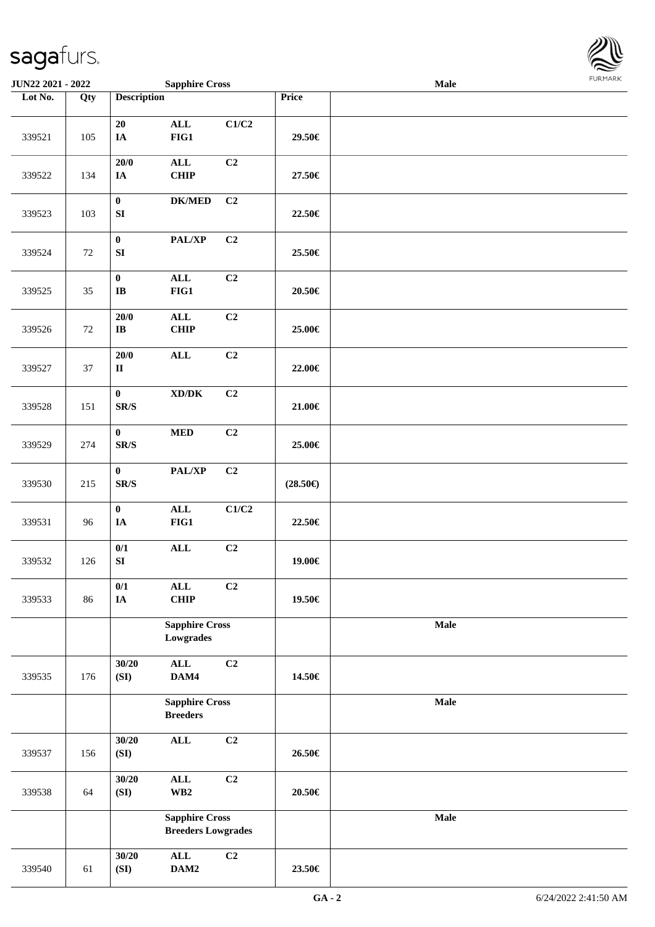

| JUN22 2021 - 2022 |     |                                      | <b>Sapphire Cross</b>                              |       |                   | Male        | FURMARK |  |  |
|-------------------|-----|--------------------------------------|----------------------------------------------------|-------|-------------------|-------------|---------|--|--|
| Lot No.           | Qty | <b>Description</b>                   |                                                    |       | Price             |             |         |  |  |
| 339521            | 105 | ${\bf 20}$<br>IA                     | $\mathbf{ALL}$<br>$FIG1$                           | C1/C2 | 29.50€            |             |         |  |  |
| 339522            | 134 | $20/0$<br>$I\!\!A$                   | $\mathbf{ALL}$<br>CHIP                             | C2    | 27.50€            |             |         |  |  |
| 339523            | 103 | $\bf{0}$<br>${\bf S}{\bf I}$         | $\mathbf{DK}/\mathbf{MED}$                         | C2    | 22.50€            |             |         |  |  |
| 339524            | 72  | $\bf{0}$<br>${\bf SI}$               | PAL/XP                                             | C2    | 25.50€            |             |         |  |  |
| 339525            | 35  | $\boldsymbol{0}$<br>$\bf IB$         | $\mathbf{ALL}$<br>FIG1                             | C2    | 20.50€            |             |         |  |  |
| 339526            | 72  | 20/0<br>$\bf IB$                     | $\mathbf{ALL}$<br>CHIP                             | C2    | 25.00€            |             |         |  |  |
| 339527            | 37  | $20/0$<br>$\rm II$                   | $\mathbf{ALL}$                                     | C2    | 22.00€            |             |         |  |  |
| 339528            | 151 | $\bf{0}$<br>$\mathbf{SR}/\mathbf{S}$ | $\bold{X}\bold{D}/\bold{D}\bold{K}$                | C2    | 21.00€            |             |         |  |  |
| 339529            | 274 | $\bf{0}$<br>SR/S                     | $\bf MED$                                          | C2    | 25.00€            |             |         |  |  |
| 339530            | 215 | $\bf{0}$<br>$\mathbf{SR}/\mathbf{S}$ | PAL/XP                                             | C2    | $(28.50\epsilon)$ |             |         |  |  |
| 339531            | 96  | $\pmb{0}$<br>IA                      | $\mathbf{ALL}$<br>FIG1                             | C1/C2 | 22.50€            |             |         |  |  |
| 339532            | 126 | $0/1$<br>${\bf SI}$                  | $\mathbf{ALL}$                                     | C2    | 19.00€            |             |         |  |  |
| 339533            | 86  | 0/1<br>${\bf IA}$                    | $\mathbf{ALL}$<br>CHIP                             | C2    | 19.50€            |             |         |  |  |
|                   |     |                                      | <b>Sapphire Cross</b><br>Lowgrades                 |       |                   | Male        |         |  |  |
| 339535            | 176 | 30/20<br>(SI)                        | $\mathbf{ALL}$<br>DAM4                             | C2    | 14.50€            |             |         |  |  |
|                   |     |                                      | <b>Sapphire Cross</b><br><b>Breeders</b>           |       |                   | Male        |         |  |  |
| 339537            | 156 | 30/20<br>(SI)                        | $\mathbf{ALL}$                                     | C2    | 26.50€            |             |         |  |  |
| 339538            | 64  | 30/20<br>(SI)                        | $\mathbf{ALL}$<br>$\mathbf{W}\mathbf{B2}$          | C2    | $20.50\in$        |             |         |  |  |
|                   |     |                                      | <b>Sapphire Cross</b><br><b>Breeders Lowgrades</b> |       |                   | <b>Male</b> |         |  |  |
| 339540            | 61  | 30/20<br>(SI)                        | $\mathbf{ALL}$<br>DAM2                             | C2    | 23.50€            |             |         |  |  |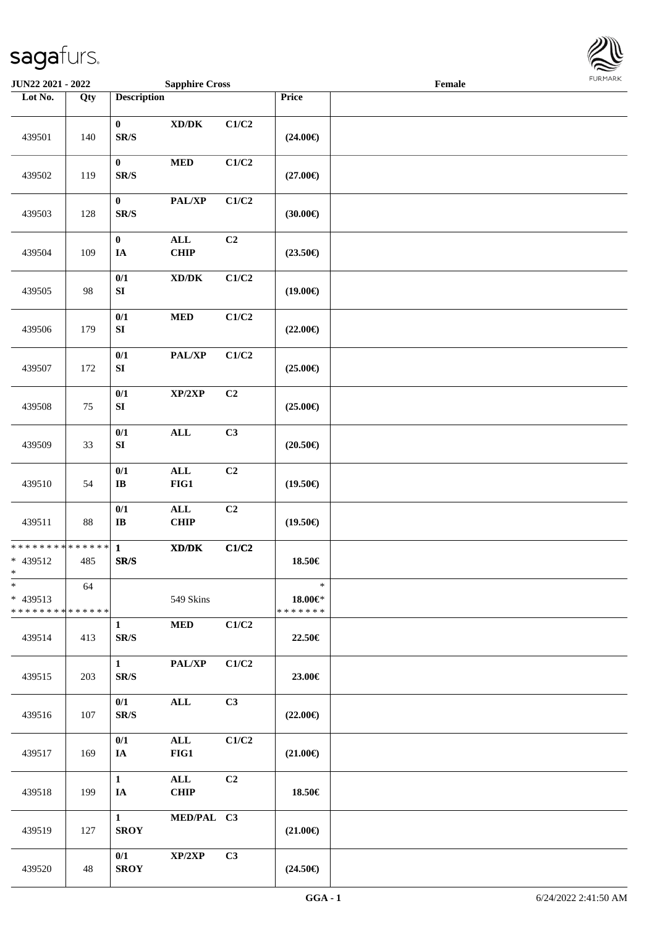

| JUN22 2021 - 2022                                   |     |                                          | <b>Sapphire Cross</b>                                                                                |                |                                          | Female |  |
|-----------------------------------------------------|-----|------------------------------------------|------------------------------------------------------------------------------------------------------|----------------|------------------------------------------|--------|--|
| Lot No.                                             | Qty | <b>Description</b>                       |                                                                                                      |                | Price                                    |        |  |
| 439501                                              | 140 | $\bf{0}$<br>$\mathbf{SR}/\mathbf{S}$     | $\boldsymbol{\text{XD}}\boldsymbol{/}\boldsymbol{\text{DK}}$                                         | C1/C2          | $(24.00\epsilon)$                        |        |  |
| 439502                                              | 119 | $\bf{0}$<br>$\mathbf{SR}/\mathbf{S}$     | $\bf MED$                                                                                            | C1/C2          | $(27.00\epsilon)$                        |        |  |
| 439503                                              | 128 | $\bf{0}$<br>$\mathbf{SR}/\mathbf{S}$     | PAL/XP                                                                                               | C1/C2          | (30.00)                                  |        |  |
| 439504                                              | 109 | $\boldsymbol{0}$<br>IA                   | $\mathbf{ALL}$<br>CHIP                                                                               | C2             | $(23.50\epsilon)$                        |        |  |
| 439505                                              | 98  | $0/1$<br>${\bf S}{\bf I}$                | $\boldsymbol{\text{XD}/\text{DK}}$                                                                   | C1/C2          | $(19.00\epsilon)$                        |        |  |
| 439506                                              | 179 | 0/1<br>${\bf S}{\bf I}$                  | $\bf MED$                                                                                            | C1/C2          | $(22.00\epsilon)$                        |        |  |
| 439507                                              | 172 | 0/1<br>${\bf S}{\bf I}$                  | PAL/XP                                                                                               | C1/C2          | $(25.00\epsilon)$                        |        |  |
| 439508                                              | 75  | 0/1<br>${\bf S}{\bf I}$                  | XP/2XP                                                                                               | C2             | $(25.00\epsilon)$                        |        |  |
| 439509                                              | 33  | $0/1$<br>${\bf S}{\bf I}$                | $\mathbf{ALL}$                                                                                       | C3             | $(20.50\in)$                             |        |  |
| 439510                                              | 54  | 0/1<br>$\mathbf{I}\mathbf{B}$            | $\mathbf{ALL}$<br>$FIG1$                                                                             | C <sub>2</sub> | $(19.50\epsilon)$                        |        |  |
| 439511                                              | 88  | $0/1$<br>$\bf I\bf B$                    | $\mathbf{ALL}$<br>CHIP                                                                               | C2             | $(19.50\epsilon)$                        |        |  |
| ******** <mark>******</mark><br>* 439512<br>$*$     | 485 | $\mathbf{1}$<br>$\mathbf{SR}/\mathbf{S}$ | $\boldsymbol{\text{X}}\boldsymbol{\text{D}}\boldsymbol{/}\boldsymbol{\text{D}}\boldsymbol{\text{K}}$ | C1/C2          | 18.50€                                   |        |  |
| $\ast$<br>$* 439513$<br>* * * * * * * * * * * * * * | 64  |                                          | 549 Skins                                                                                            |                | $\ast$<br>$18.00 \in$ *<br>* * * * * * * |        |  |
| 439514                                              | 413 | $\mathbf{1}$<br>SR/S                     | $\bf MED$                                                                                            | C1/C2          | 22.50€                                   |        |  |
| 439515                                              | 203 | $\mathbf{1}$<br>$\mathbf{SR}/\mathbf{S}$ | PAL/XP                                                                                               | C1/C2          | 23.00€                                   |        |  |
| 439516                                              | 107 | 0/1<br>$\mathbf{SR}/\mathbf{S}$          | $\mathbf{ALL}$                                                                                       | C3             | $(22.00\epsilon)$                        |        |  |
| 439517                                              | 169 | 0/1<br>IA                                | $\mathbf{ALL}$<br>FIG1                                                                               | C1/C2          | $(21.00\epsilon)$                        |        |  |
| 439518                                              | 199 | $\mathbf{1}$<br>IA                       | ALL<br><b>CHIP</b>                                                                                   | C <sub>2</sub> | 18.50€                                   |        |  |
| 439519                                              | 127 | $\mathbf{1}$<br><b>SROY</b>              | MED/PAL C3                                                                                           |                | $(21.00\epsilon)$                        |        |  |
| 439520                                              | 48  | 0/1<br><b>SROY</b>                       | XP/2XP                                                                                               | C3             | $(24.50\epsilon)$                        |        |  |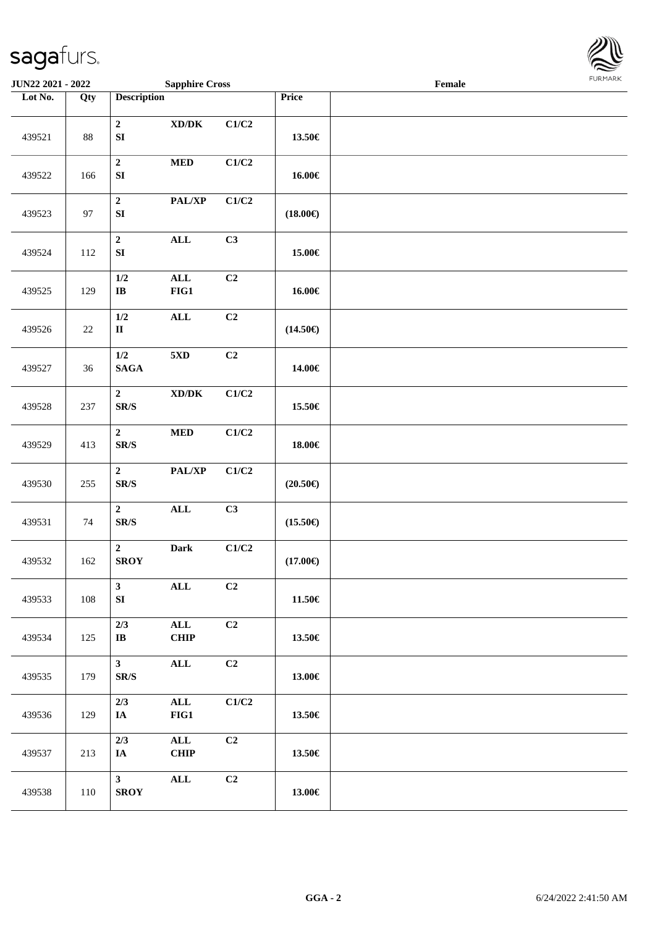

| JUN22 2021 - 2022 |        |                                            | <b>Sapphire Cross</b>                                        |                           |                   | Female |  |
|-------------------|--------|--------------------------------------------|--------------------------------------------------------------|---------------------------|-------------------|--------|--|
| Lot No.           | Qty    | <b>Description</b>                         |                                                              |                           | Price             |        |  |
| 439521            | 88     | $\overline{2}$<br>${\bf SI}$               | $\boldsymbol{\text{XD}}\boldsymbol{/}\boldsymbol{\text{DK}}$ | C1/C2                     | 13.50€            |        |  |
| 439522            | 166    | $\mathbf 2$<br>${\bf SI}$                  | $\bf MED$                                                    | C1/C2                     | 16.00€            |        |  |
| 439523            | 97     | $\mathbf 2$<br>${\bf SI}$                  | PAL/XP                                                       | C1/C2                     | $(18.00\epsilon)$ |        |  |
| 439524            | 112    | $\boldsymbol{2}$<br>${\bf SI}$             | $\mathbf{ALL}$                                               | C3                        | 15.00€            |        |  |
| 439525            | 129    | $1/2$<br>$\bf{IB}$                         | $\mathbf{ALL}$<br>$FIG1$                                     | C2                        | 16.00€            |        |  |
| 439526            | $22\,$ | $1/2$<br>$\rm II$                          | $\mathbf{ALL}$                                               | C2                        | $(14.50\epsilon)$ |        |  |
| 439527            | 36     | $1/2$<br>$\mathbf{SAGA}$                   | 5 <sub>xD</sub>                                              | C2                        | 14.00€            |        |  |
| 439528            | 237    | $\mathbf 2$<br>$\mbox{S}\mbox{R}/\mbox{S}$ | $\boldsymbol{\text{XD}}\boldsymbol{/}\boldsymbol{\text{DK}}$ | C1/C2                     | 15.50€            |        |  |
| 439529            | 413    | $\mathbf 2$<br>$\mathbf{SR}/\mathbf{S}$    | $\bf MED$                                                    | $\mathbf{C1}/\mathbf{C2}$ | 18.00€            |        |  |
| 439530            | 255    | $\overline{2}$<br>$\mbox{{\sc S}\,R/S}$    | $\mathbf{PAL}/\mathbf{XP}$                                   | $\mathbf{C1}/\mathbf{C2}$ | $(20.50\epsilon)$ |        |  |
| 439531            | 74     | $\mathbf{2}$<br>$\mbox{{\sc S}\,R/S}$      | $\mathbf{ALL}$                                               | C3                        | $(15.50\epsilon)$ |        |  |
| 439532            | 162    | $\overline{2}$<br><b>SROY</b>              | Dark                                                         | C1/C2                     | $(17.00\in)$      |        |  |
| 439533            | 108    | $\mathbf{3}$<br>SI                         | $\mathbf{ALL}$                                               | C <sub>2</sub>            | 11.50€            |        |  |
| 439534            | 125    | 2/3<br>$\mathbf{I}$ <b>B</b>               | ALL<br><b>CHIP</b>                                           | C2                        | 13.50€            |        |  |
| 439535            | 179    | 3 <sup>1</sup><br>SR/S                     | ALL                                                          | C2                        | 13.00€            |        |  |
| 439536            | 129    | 2/3<br>IA                                  | $\mathbf{ALL}$<br>FIG1                                       | C1/C2                     | 13.50€            |        |  |
| 439537            | 213    | 2/3<br>IA                                  | $\mathbf{ALL}$<br><b>CHIP</b>                                | C2                        | 13.50€            |        |  |
| 439538            | 110    | 3 <sup>7</sup><br><b>SROY</b>              | $\mathbf{ALL}$                                               | C2                        | 13.00€            |        |  |